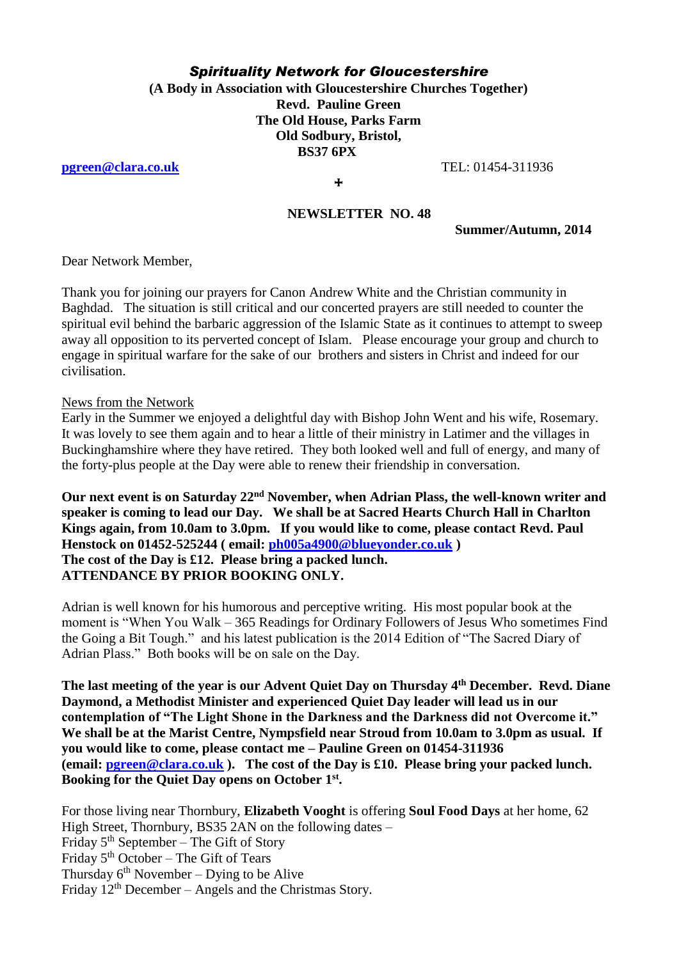## *Spirituality Network for Gloucestershire*

**(A Body in Association with Gloucestershire Churches Together) Revd. Pauline Green The Old House, Parks Farm Old Sodbury, Bristol, BS37 6PX**

**[pgreen@clara.co.uk](mailto:pgreen@clara.co.uk)** TEL: 01454-311936

**+** 

#### **NEWSLETTER NO. 48**

**Summer/Autumn, 2014**

Dear Network Member,

Thank you for joining our prayers for Canon Andrew White and the Christian community in Baghdad. The situation is still critical and our concerted prayers are still needed to counter the spiritual evil behind the barbaric aggression of the Islamic State as it continues to attempt to sweep away all opposition to its perverted concept of Islam. Please encourage your group and church to engage in spiritual warfare for the sake of our brothers and sisters in Christ and indeed for our civilisation.

News from the Network

Early in the Summer we enjoyed a delightful day with Bishop John Went and his wife, Rosemary. It was lovely to see them again and to hear a little of their ministry in Latimer and the villages in Buckinghamshire where they have retired. They both looked well and full of energy, and many of the forty-plus people at the Day were able to renew their friendship in conversation.

**Our next event is on Saturday 22nd November, when Adrian Plass, the well-known writer and speaker is coming to lead our Day. We shall be at Sacred Hearts Church Hall in Charlton Kings again, from 10.0am to 3.0pm. If you would like to come, please contact Revd. Paul Henstock on 01452-525244 ( email: [ph005a4900@blueyonder.co.uk](mailto:ph005a4900@blueyonder.co.uk) ) The cost of the Day is £12. Please bring a packed lunch. ATTENDANCE BY PRIOR BOOKING ONLY.**

Adrian is well known for his humorous and perceptive writing. His most popular book at the moment is "When You Walk – 365 Readings for Ordinary Followers of Jesus Who sometimes Find the Going a Bit Tough." and his latest publication is the 2014 Edition of "The Sacred Diary of Adrian Plass." Both books will be on sale on the Day.

**The last meeting of the year is our Advent Quiet Day on Thursday 4th December. Revd. Diane Daymond, a Methodist Minister and experienced Quiet Day leader will lead us in our contemplation of "The Light Shone in the Darkness and the Darkness did not Overcome it." We shall be at the Marist Centre, Nympsfield near Stroud from 10.0am to 3.0pm as usual. If you would like to come, please contact me – Pauline Green on 01454-311936 (email: [pgreen@clara.co.uk](mailto:pgreen@clara.co.uk) ). The cost of the Day is £10. Please bring your packed lunch. Booking for the Quiet Day opens on October 1st .**

For those living near Thornbury, **Elizabeth Vooght** is offering **Soul Food Days** at her home, 62 High Street, Thornbury, BS35 2AN on the following dates – Friday  $5<sup>th</sup>$  September – The Gift of Story Friday  $5<sup>th</sup>$  October – The Gift of Tears Thursday  $6<sup>th</sup>$  November – Dying to be Alive Friday  $12<sup>th</sup>$  December – Angels and the Christmas Story.